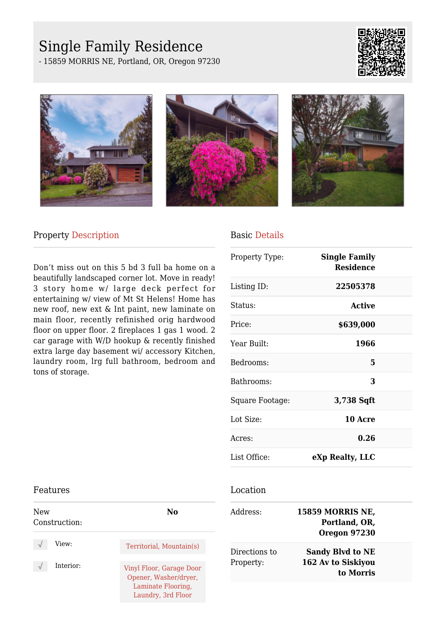# Single Family Residence

- 15859 MORRIS NE, Portland, OR, Oregon 97230









## Property Description

Don't miss out on this 5 bd 3 full ba home on a beautifully landscaped corner lot. Move in ready! 3 story home w/ large deck perfect for entertaining w/ view of Mt St Helens! Home has new roof, new ext & Int paint, new laminate on main floor, recently refinished orig hardwood floor on upper floor. 2 fireplaces 1 gas 1 wood. 2 car garage with W/D hookup & recently finished extra large day basement wi/ accessory Kitchen, laundry room, lrg full bathroom, bedroom and tons of storage.

## Basic Details

| Property Type:  | <b>Single Family</b><br><b>Residence</b> |  |
|-----------------|------------------------------------------|--|
| Listing ID:     | 22505378                                 |  |
| Status:         | Active                                   |  |
| Price:          | \$639,000                                |  |
| Year Built:     | 1966                                     |  |
| Bedrooms:       | 5                                        |  |
| Bathrooms:      | 3                                        |  |
| Square Footage: | 3,738 Sqft                               |  |
| Lot Size:       | 10 Acre                                  |  |
| Acres:          | 0.26                                     |  |
| List Office:    | eXp Realty, LLC                          |  |

### Location

| Address:                   | <b>15859 MORRIS NE,</b><br>Portland, OR,<br><b>Oregon 97230</b> |  |
|----------------------------|-----------------------------------------------------------------|--|
| Directions to<br>Property: | <b>Sandy Blvd to NE</b><br>162 Av to Siskiyou<br>to Morris      |  |

#### Features

| New<br>Construction: | No                                                                                            |
|----------------------|-----------------------------------------------------------------------------------------------|
| View:                | Territorial, Mountain(s)                                                                      |
| Interior:            | Vinyl Floor, Garage Door<br>Opener, Washer/dryer,<br>Laminate Flooring,<br>Laundry, 3rd Floor |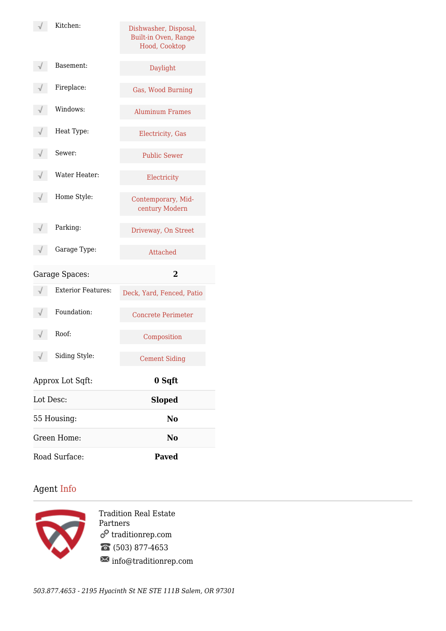|                                           | Kitchen:                  | Dishwasher, Disposal,<br>Built-in Oven, Range<br>Hood, Cooktop |
|-------------------------------------------|---------------------------|----------------------------------------------------------------|
|                                           | Basement:                 | Daylight                                                       |
|                                           | Fireplace:                | Gas, Wood Burning                                              |
|                                           | Windows:                  | <b>Aluminum Frames</b>                                         |
|                                           | Heat Type:                | Electricity, Gas                                               |
|                                           | Sewer:                    | <b>Public Sewer</b>                                            |
|                                           | Water Heater:             | Electricity                                                    |
|                                           | Home Style:               | Contemporary, Mid-<br>century Modern                           |
|                                           | Parking:                  | Driveway, On Street                                            |
|                                           | Garage Type:              | Attached                                                       |
| $\overline{\mathbf{2}}$<br>Garage Spaces: |                           |                                                                |
|                                           | <b>Exterior Features:</b> | Deck, Yard, Fenced, Patio                                      |
|                                           | Foundation:               | <b>Concrete Perimeter</b>                                      |
|                                           | Roof:                     | Composition                                                    |
|                                           | Siding Style:             | <b>Cement Siding</b>                                           |
|                                           | Approx Lot Sqft:          | 0 Sqft                                                         |
| Lot Desc:                                 |                           | <b>Sloped</b>                                                  |
|                                           | 55 Housing:               | No                                                             |
|                                           | Green Home:               | No                                                             |
| Road Surface:                             |                           | <b>Paved</b>                                                   |

## Agent Info



Tradition Real Estate Partners  $\mathcal{O}$  tradition<br>rep.com (503) 877-4653  $\boxtimes$  info@traditionrep.com